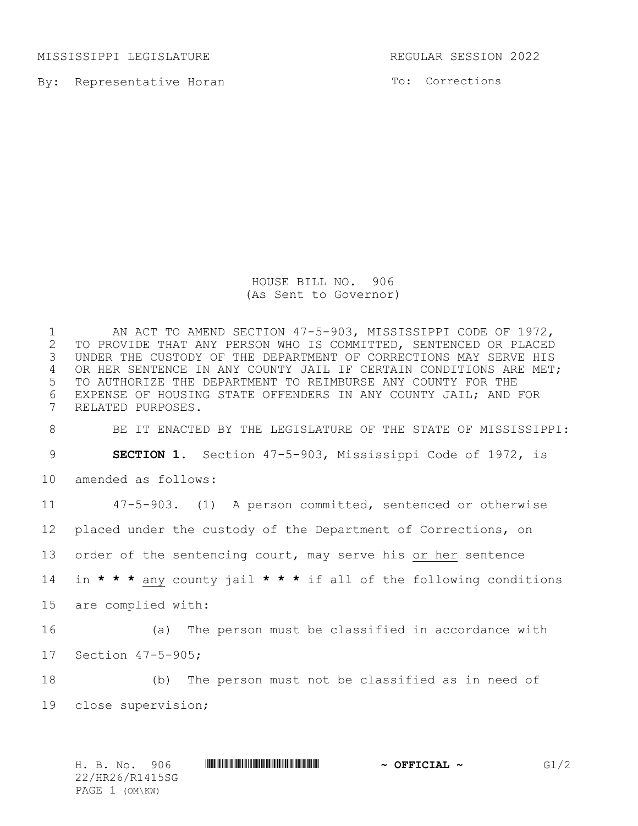MISSISSIPPI LEGISLATURE REGULAR SESSION 2022

By: Representative Horan

To: Corrections

HOUSE BILL NO. 906 (As Sent to Governor)

1 AN ACT TO AMEND SECTION 47-5-903, MISSISSIPPI CODE OF 1972,<br>2 TO PROVIDE THAT ANY PERSON WHO IS COMMITTED, SENTENCED OR PLACED 2 TO PROVIDE THAT ANY PERSON WHO IS COMMITTED, SENTENCED OR PLACED<br>3 UNDER THE CUSTODY OF THE DEPARTMENT OF CORRECTIONS MAY SERVE HIS UNDER THE CUSTODY OF THE DEPARTMENT OF CORRECTIONS MAY SERVE HIS 4 OR HER SENTENCE IN ANY COUNTY JAIL IF CERTAIN CONDITIONS ARE MET; TO AUTHORIZE THE DEPARTMENT TO REIMBURSE ANY COUNTY FOR THE 6 EXPENSE OF HOUSING STATE OFFENDERS IN ANY COUNTY JAIL; AND FOR<br>7 RELATED PURPOSES. RELATED PURPOSES. BE IT ENACTED BY THE LEGISLATURE OF THE STATE OF MISSISSIPPI: **SECTION 1.** Section 47-5-903, Mississippi Code of 1972, is amended as follows: 47-5-903. (1) A person committed, sentenced or otherwise placed under the custody of the Department of Corrections, on order of the sentencing court, may serve his or her sentence in **\* \* \*** any county jail **\* \* \*** if all of the following conditions are complied with: (a) The person must be classified in accordance with Section 47-5-905; (b) The person must not be classified as in need of close supervision;

H. B. No. 906 \*HR26/R1415SG\* **~ OFFICIAL ~** G1/2 22/HR26/R1415SG PAGE 1 (OM\KW)